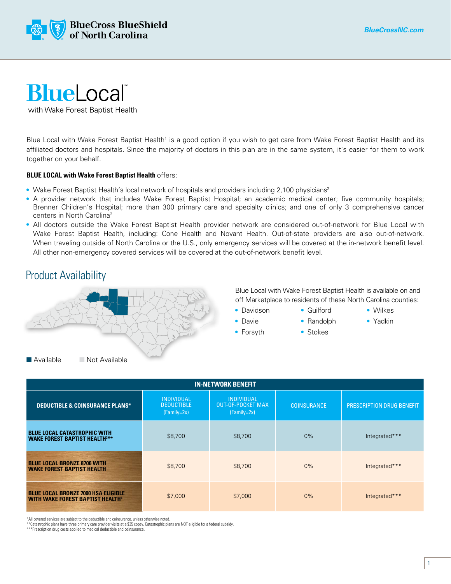

## **BlueLocal**

with Wake Forest Baptist Health

Blue Local with Wake Forest Baptist Health<sup>1</sup> is a good option if you wish to get care from Wake Forest Baptist Health and its affiliated doctors and hospitals. Since the majority of doctors in this plan are in the same system, it's easier for them to work together on your behalf.

## **BLUE LOCAL with Wake Forest Baptist Health** offers:

- Wake Forest Baptist Health's local network of hospitals and providers including 2,100 physicians<sup>2</sup>
- A provider network that includes Wake Forest Baptist Hospital; an academic medical center; five community hospitals; Brenner Children's Hospital; more than 300 primary care and specialty clinics; and one of only 3 comprehensive cancer centers in North Carolina<sup>2</sup>
- All doctors outside the Wake Forest Baptist Health provider network are considered out-of-network for Blue Local with Wake Forest Baptist Health, including: Cone Health and Novant Health. Out-of-state providers are also out-of-network. When traveling outside of North Carolina or the U.S., only emergency services will be covered at the in-network benefit level. All other non-emergency covered services will be covered at the out-of-network benefit level.

## Product Availability



Blue Local with Wake Forest Baptist Health is available on and off Marketplace to residents of these North Carolina counties:

- Davidson • Guilford
- Davie
- Wilkes
	- Yadkin
- Forsyth
- Randolph • Stokes
- **IN-NETWORK BENEFIT** INDIVIDUAL INDIVIDUAL OUT-OF-POCKET MAX (Family=2x) COINSURANCE PRESCRIPTION DRUG BENEFIT

| <b>DEDUCTIBLE &amp; COINSURANCE PLANS*</b>                                                        | <b>DEDUCTIBLE</b><br>$(Family=2x)$ | <b>OUT-OF-POCKET MAX</b><br>$(Family=2x)$ | <b>COINSURANCE</b> | <b>PRESCRIPTION DRUG BENEFIT</b> |
|---------------------------------------------------------------------------------------------------|------------------------------------|-------------------------------------------|--------------------|----------------------------------|
| <b>BLUE LOCAL CATASTROPHIC WITH</b><br><b>WAKE FOREST BAPTIST HEALTH3**</b>                       | \$8,700                            | \$8,700                                   | 0%                 | Integrated***                    |
| <b>BLUE LOCAL BRONZE 8700 WITH</b><br><b>WAKE FOREST BAPTIST HEALTH</b>                           | \$8,700                            | \$8,700                                   | $0\%$              | Integrated***                    |
| <b>BLUE LOCAL BRONZE 7000 HSA ELIGIBLE</b><br><b>WITH WAKE FOREST BAPTIST HEALTH</b> <sup>4</sup> | \$7,000                            | \$7,000                                   | 0%                 | Integrated***                    |

\*All covered services are subject to the deductible and coinsurance, unless otherwise noted.

\*\*Catastrophic plans have three primary care provider visits at a \$35 copay. Catastrophic plans are NOT eligible for a federal subsidy.

\*\*\*Prescription drug costs applied to medical deductible and coinsurance.